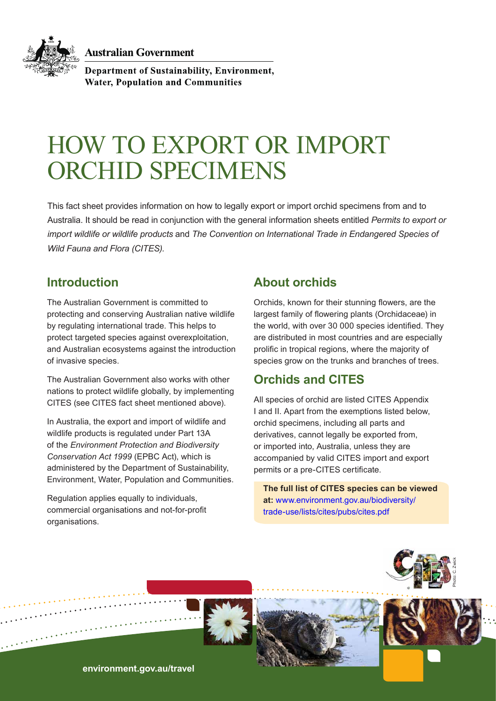**Australian Government** 



Department of Sustainability, Environment, **Water, Population and Communities** 

# HOW TO EXPORT OR IMPORT ORCHID SPECIMENS

This fact sheet provides information on how to legally export or import orchid specimens from and to Australia. It should be read in conjunction with the general information sheets entitled *Permits to export or import wildlife or wildlife products* and *The Convention on International Trade in Endangered Species of Wild Fauna and Flora (CITES).*

# **Introduction**

The Australian Government is committed to protecting and conserving Australian native wildlife by regulating international trade. This helps to protect targeted species against overexploitation, and Australian ecosystems against the introduction of invasive species.

The Australian Government also works with other nations to protect wildlife globally, by implementing CITES (see CITES fact sheet mentioned above).

In Australia, the export and import of wildlife and wildlife products is regulated under Part 13A of the *Environment Protection and Biodiversity Conservation Act 1999* (EPBC Act), which is administered by the Department of Sustainability, Environment, Water, Population and Communities.

Regulation applies equally to individuals, commercial organisations and not-for-profit organisations.

# **About orchids**

Orchids, known for their stunning flowers, are the largest family of flowering plants (Orchidaceae) in the world, with over 30 000 species identified. They are distributed in most countries and are especially prolific in tropical regions, where the majority of species grow on the trunks and branches of trees.

# **Orchids and CITES**

All species of orchid are listed CITES Appendix I and II. Apart from the exemptions listed below, orchid specimens, including all parts and derivatives, cannot legally be exported from, or imported into, Australia, unless they are accompanied by valid CITES import and export permits or a pre-CITES certificate.

**The full list of CITES species can be viewed at:** www.environment.gov.au/biodiversity/ trade-use/lists/cites/pubs/cites.pdf







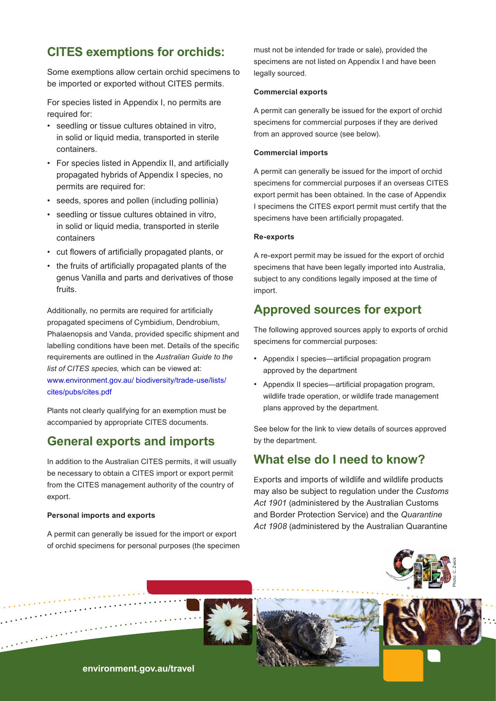# **CITES exemptions for orchids:**

Some exemptions allow certain orchid specimens to be imported or exported without CITES permits.

For species listed in Appendix I, no permits are required for:

- seedling or tissue cultures obtained in vitro, in solid or liquid media, transported in sterile containers.
- For species listed in Appendix II, and artificially propagated hybrids of Appendix I species, no permits are required for:
- seeds, spores and pollen (including pollinia)
- seedling or tissue cultures obtained in vitro, in solid or liquid media, transported in sterile containers
- cut flowers of artificially propagated plants, or
- the fruits of artificially propagated plants of the genus Vanilla and parts and derivatives of those fruits.

Additionally, no permits are required for artificially propagated specimens of Cymbidium, Dendrobium, Phalaenopsis and Vanda, provided specific shipment and labelling conditions have been met. Details of the specific requirements are outlined in the *Australian Guide to the list of CITES species,* which can be viewed at: [www.environment.gov.au/ biodiversity/trade-use/lists/](www.environment.gov.au/ biodiversity/trade-use/lists/cites/pubs/cites.pdf ) [cites/pubs/cites.pdf](www.environment.gov.au/ biodiversity/trade-use/lists/cites/pubs/cites.pdf ) 

Plants not clearly qualifying for an exemption must be accompanied by appropriate CITES documents.

## **General exports and imports**

In addition to the Australian CITES permits, it will usually be necessary to obtain a CITES import or export permit from the CITES management authority of the country of export.

#### **Personal imports and exports**

A permit can generally be issued for the import or export of orchid specimens for personal purposes (the specimen must not be intended for trade or sale), provided the specimens are not listed on Appendix I and have been legally sourced.

#### **Commercial exports**

A permit can generally be issued for the export of orchid specimens for commercial purposes if they are derived from an approved source (see below).

#### **Commercial imports**

A permit can generally be issued for the import of orchid specimens for commercial purposes if an overseas CITES export permit has been obtained. In the case of Appendix I specimens the CITES export permit must certify that the specimens have been artificially propagated.

#### **Re-exports**

A re-export permit may be issued for the export of orchid specimens that have been legally imported into Australia, subject to any conditions legally imposed at the time of import.

## **Approved sources for export**

The following approved sources apply to exports of orchid specimens for commercial purposes:

- Appendix I species—artificial propagation program approved by the department
- Appendix II species—artificial propagation program, wildlife trade operation, or wildlife trade management plans approved by the department.

See below for the link to view details of sources approved by the department.

### **What else do I need to know?**

Exports and imports of wildlife and wildlife products may also be subject to regulation under the *Customs Act 1901* (administered by the Australian Customs and Border Protection Service) and the *Quarantine Act 1908* (administered by the Australian Quarantine